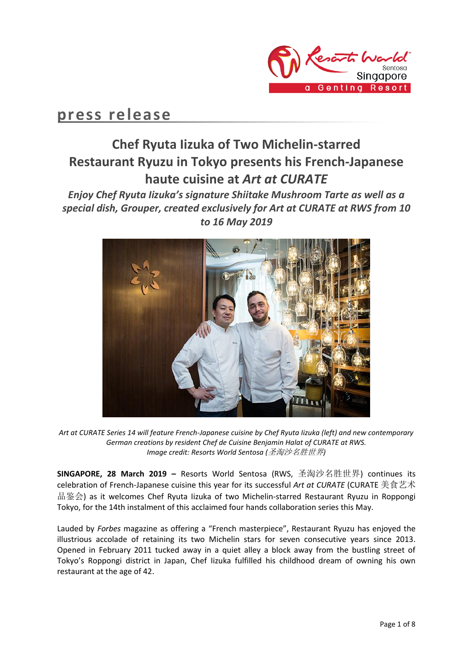

# **press release**

# **Chef Ryuta Iizuka of Two Michelin-starred Restaurant Ryuzu in Tokyo presents his French-Japanese haute cuisine at** *Art at CURATE*

*Enjoy Chef Ryuta Iizuka's signature Shiitake Mushroom Tarte as well as a special dish, Grouper, created exclusively for Art at CURATE at RWS from 10 to 16 May 2019*



*Art at CURATE Series 14 will feature French-Japanese cuisine by Chef Ryuta Iizuka (left) and new contemporary German creations by resident Chef de Cuisine Benjamin Halat of CURATE at RWS. Image credit: Resorts World Sentosa (*圣淘沙名胜世界*)*

**SINGAPORE, 28 March 2019 –** Resorts World Sentosa (RWS, 圣淘沙名胜世界) continues its celebration of French-Japanese cuisine this year for its successful *Art at CURATE* (CURATE 美食艺术 品鉴会) as it welcomes Chef Ryuta Iizuka of two Michelin-starred Restaurant Ryuzu in Roppongi Tokyo, for the 14th instalment of this acclaimed four hands collaboration series this May.

Lauded by *Forbes* magazine as offering a "French masterpiece", Restaurant Ryuzu has enjoyed the illustrious accolade of retaining its two Michelin stars for seven consecutive years since 2013. Opened in February 2011 tucked away in a quiet alley a block away from the bustling street of Tokyo's Roppongi district in Japan, Chef Iizuka fulfilled his childhood dream of owning his own restaurant at the age of 42.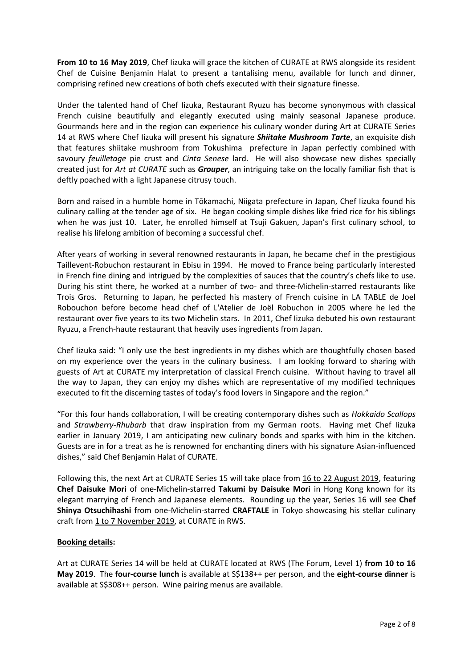**From 10 to 16 May 2019**, Chef Iizuka will grace the kitchen of CURATE at RWS alongside its resident Chef de Cuisine Benjamin Halat to present a tantalising menu, available for lunch and dinner, comprising refined new creations of both chefs executed with their signature finesse.

Under the talented hand of Chef Iizuka, Restaurant Ryuzu has become synonymous with classical French cuisine beautifully and elegantly executed using mainly seasonal Japanese produce. Gourmands here and in the region can experience his culinary wonder during Art at CURATE Series 14 at RWS where Chef Iizuka will present his signature *Shiitake Mushroom Tarte*, an exquisite dish that features shiitake mushroom from Tokushima prefecture in Japan perfectly combined with savoury *feuilletage* pie crust and *Cinta Senese* lard. He will also showcase new dishes specially created just for *Art at CURATE* such as *Grouper*, an intriguing take on the locally familiar fish that is deftly poached with a light Japanese citrusy touch.

Born and raised in a humble home in Tōkamachi, Niigata prefecture in Japan, Chef Iizuka found his culinary calling at the tender age of six. He began cooking simple dishes like fried rice for his siblings when he was just 10. Later, he enrolled himself at Tsuji Gakuen, Japan's first culinary school, to realise his lifelong ambition of becoming a successful chef.

After years of working in several renowned restaurants in Japan, he became chef in the prestigious Taillevent-Robuchon restaurant in Ebisu in 1994. He moved to France being particularly interested in French fine dining and intrigued by the complexities of sauces that the country's chefs like to use. During his stint there, he worked at a number of two- and three-Michelin-starred restaurants like Trois Gros. Returning to Japan, he perfected his mastery of French cuisine in LA TABLE de Joel Robouchon before become head chef of L'Atelier de Joël Robuchon in 2005 where he led the restaurant over five years to its two Michelin stars. In 2011, Chef Iizuka debuted his own restaurant Ryuzu, a French-haute restaurant that heavily uses ingredients from Japan.

Chef Iizuka said: "I only use the best ingredients in my dishes which are thoughtfully chosen based on my experience over the years in the culinary business. I am looking forward to sharing with guests of Art at CURATE my interpretation of classical French cuisine. Without having to travel all the way to Japan, they can enjoy my dishes which are representative of my modified techniques executed to fit the discerning tastes of today's food lovers in Singapore and the region."

"For this four hands collaboration, I will be creating contemporary dishes such as *Hokkaido Scallops* and *Strawberry-Rhubarb* that draw inspiration from my German roots. Having met Chef Iizuka earlier in January 2019, I am anticipating new culinary bonds and sparks with him in the kitchen. Guests are in for a treat as he is renowned for enchanting diners with his signature Asian-influenced dishes," said Chef Benjamin Halat of CURATE.

Following this, the next Art at CURATE Series 15 will take place from 16 to 22 August 2019, featuring **Chef Daisuke Mori** of one-Michelin-starred **Takumi by Daisuke Mori** in Hong Kong known for its elegant marrying of French and Japanese elements. Rounding up the year, Series 16 will see **Chef Shinya Otsuchihashi** from one-Michelin-starred **CRAFTALE** in Tokyo showcasing his stellar culinary craft from 1 to 7 November 2019, at CURATE in RWS.

### **Booking details:**

Art at CURATE Series 14 will be held at CURATE located at RWS (The Forum, Level 1) **from 10 to 16 May 2019**. The **four-course lunch** is available at S\$138++ per person, and the **eight-course dinner** is available at S\$308++ person. Wine pairing menus are available.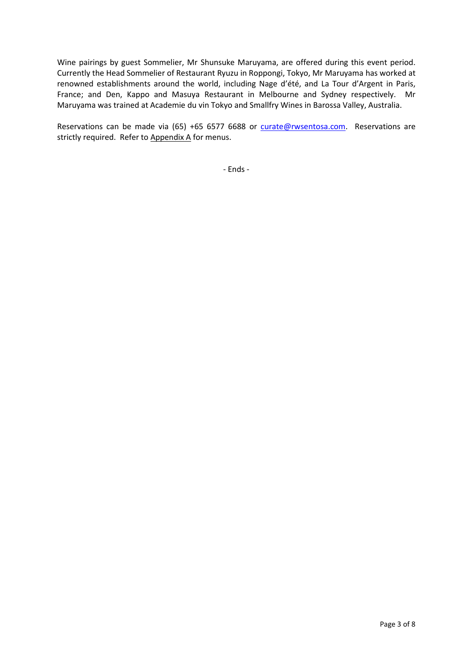Wine pairings by guest Sommelier, Mr Shunsuke Maruyama, are offered during this event period. Currently the Head Sommelier of Restaurant Ryuzu in Roppongi, Tokyo, Mr Maruyama has worked at renowned establishments around the world, including Nage d'été, and La Tour d'Argent in Paris, France; and Den, Kappo and Masuya Restaurant in Melbourne and Sydney respectively. Mr Maruyama was trained at Academie du vin Tokyo and Smallfry Wines in Barossa Valley, Australia.

Reservations can be made via (65) +65 6577 6688 or [curate@rwsentosa.com.](mailto:curate@rwsentosa.com) Reservations are strictly required. Refer to Appendix A for menus.

- Ends -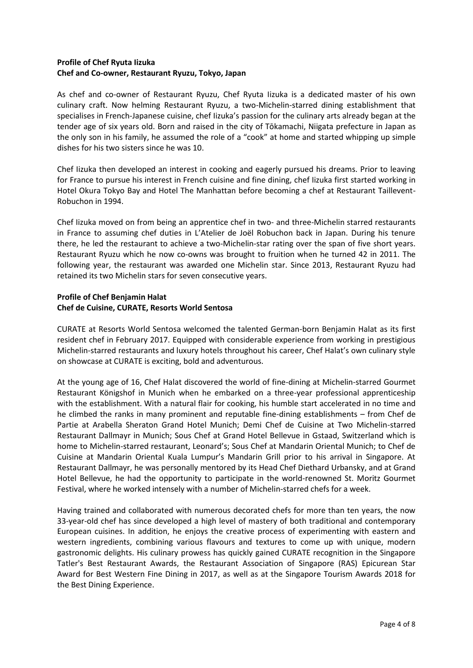### **Profile of Chef Ryuta Iizuka Chef and Co-owner, Restaurant Ryuzu, Tokyo, Japan**

As chef and co-owner of Restaurant Ryuzu, Chef Ryuta Iizuka is a dedicated master of his own culinary craft. Now helming Restaurant Ryuzu, a two-Michelin-starred dining establishment that specialises in French-Japanese cuisine, chef Iizuka's passion for the culinary arts already began at the tender age of six years old. Born and raised in the city of Tōkamachi, Niigata prefecture in Japan as the only son in his family, he assumed the role of a "cook" at home and started whipping up simple dishes for his two sisters since he was 10.

Chef Iizuka then developed an interest in cooking and eagerly pursued his dreams. Prior to leaving for France to pursue his interest in French cuisine and fine dining, chef Iizuka first started working in Hotel Okura Tokyo Bay and Hotel The Manhattan before becoming a chef at Restaurant Taillevent-Robuchon in 1994.

Chef Iizuka moved on from being an apprentice chef in two- and three-Michelin starred restaurants in France to assuming chef duties in L'Atelier de Joël Robuchon back in Japan. During his tenure there, he led the restaurant to achieve a two-Michelin-star rating over the span of five short years. Restaurant Ryuzu which he now co-owns was brought to fruition when he turned 42 in 2011. The following year, the restaurant was awarded one Michelin star. Since 2013, Restaurant Ryuzu had retained its two Michelin stars for seven consecutive years.

### **Profile of Chef Benjamin Halat Chef de Cuisine, CURATE, Resorts World Sentosa**

CURATE at Resorts World Sentosa welcomed the talented German-born Benjamin Halat as its first resident chef in February 2017. Equipped with considerable experience from working in prestigious Michelin-starred restaurants and luxury hotels throughout his career, Chef Halat's own culinary style on showcase at CURATE is exciting, bold and adventurous.

At the young age of 16, Chef Halat discovered the world of fine-dining at Michelin-starred Gourmet Restaurant Königshof in Munich when he embarked on a three-year professional apprenticeship with the establishment. With a natural flair for cooking, his humble start accelerated in no time and he climbed the ranks in many prominent and reputable fine-dining establishments – from Chef de Partie at Arabella Sheraton Grand Hotel Munich; Demi Chef de Cuisine at Two Michelin-starred Restaurant Dallmayr in Munich; Sous Chef at Grand Hotel Bellevue in Gstaad, Switzerland which is home to Michelin-starred restaurant, Leonard's; Sous Chef at Mandarin Oriental Munich; to Chef de Cuisine at Mandarin Oriental Kuala Lumpur's Mandarin Grill prior to his arrival in Singapore. At Restaurant Dallmayr, he was personally mentored by its Head Chef Diethard Urbansky, and at Grand Hotel Bellevue, he had the opportunity to participate in the world-renowned St. Moritz Gourmet Festival, where he worked intensely with a number of Michelin-starred chefs for a week.

Having trained and collaborated with numerous decorated chefs for more than ten years, the now 33-year-old chef has since developed a high level of mastery of both traditional and contemporary European cuisines. In addition, he enjoys the creative process of experimenting with eastern and western ingredients, combining various flavours and textures to come up with unique, modern gastronomic delights. His culinary prowess has quickly gained CURATE recognition in the Singapore Tatler's Best Restaurant Awards, the Restaurant Association of Singapore (RAS) Epicurean Star Award for Best Western Fine Dining in 2017, as well as at the Singapore Tourism Awards 2018 for the Best Dining Experience.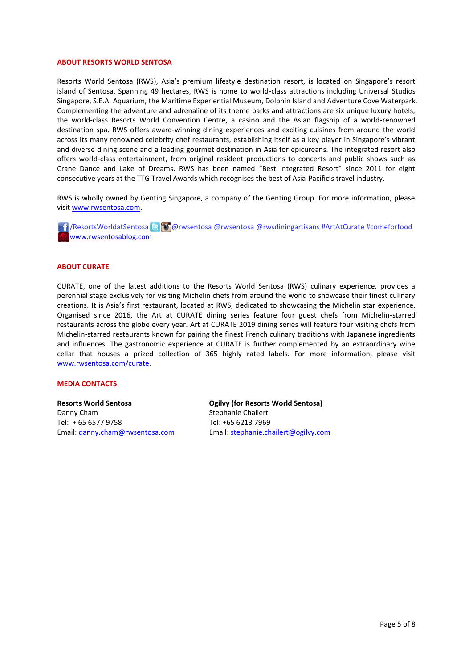#### **ABOUT RESORTS WORLD SENTOSA**

Resorts World Sentosa (RWS), Asia's premium lifestyle destination resort, is located on Singapore's resort island of Sentosa. Spanning 49 hectares, RWS is home to world-class attractions including Universal Studios Singapore, S.E.A. Aquarium, the Maritime Experiential Museum, Dolphin Island and Adventure Cove Waterpark. Complementing the adventure and adrenaline of its theme parks and attractions are six unique luxury hotels, the world-class Resorts World Convention Centre, a casino and the Asian flagship of a world-renowned destination spa. RWS offers award-winning dining experiences and exciting cuisines from around the world across its many renowned celebrity chef restaurants, establishing itself as a key player in Singapore's vibrant and diverse dining scene and a leading gourmet destination in Asia for epicureans. The integrated resort also offers world-class entertainment, from original resident productions to concerts and public shows such as Crane Dance and Lake of Dreams. RWS has been named "Best Integrated Resort" since 2011 for eight consecutive years at the TTG Travel Awards which recognises the best of Asia-Pacific's travel industry.

RWS is wholly owned by Genting Singapore, a company of the Genting Group. For more information, please visi[t www.rwsentosa.com.](http://www.rwsentosa.com/)

**16** / ResortsWorldatSentosa **C @** @rwsentosa @rwsentosa @rwsdiningartisans #ArtAtCurate #comeforfood [www.rwsentosablog.com](http://www.rwsentosablog.com/)

#### **ABOUT CURATE**

CURATE, one of the latest additions to the Resorts World Sentosa (RWS) culinary experience, provides a perennial stage exclusively for visiting Michelin chefs from around the world to showcase their finest culinary creations. It is Asia's first restaurant, located at RWS, dedicated to showcasing the Michelin star experience. Organised since 2016, the Art at CURATE dining series feature four guest chefs from Michelin-starred restaurants across the globe every year. Art at CURATE 2019 dining series will feature four visiting chefs from Michelin-starred restaurants known for pairing the finest French culinary traditions with Japanese ingredients and influences. The gastronomic experience at CURATE is further complemented by an extraordinary wine cellar that houses a prized collection of 365 highly rated labels. For more information, please visit [www.rwsentosa.com/curate.](http://www.rwsentosa.com/curate)

#### **MEDIA CONTACTS**

**Resorts World Sentosa** Danny Cham Tel: + 65 6577 9758 Email: [danny.cham@rwsentosa.com](mailto:danny.cham@rwsentosa.com)

**Ogilvy (for Resorts World Sentosa)** Stephanie Chailert Tel: +65 6213 7969 Email[: stephanie.chailert@ogilvy.com](mailto:stephanie.chailert@ogilvy.com)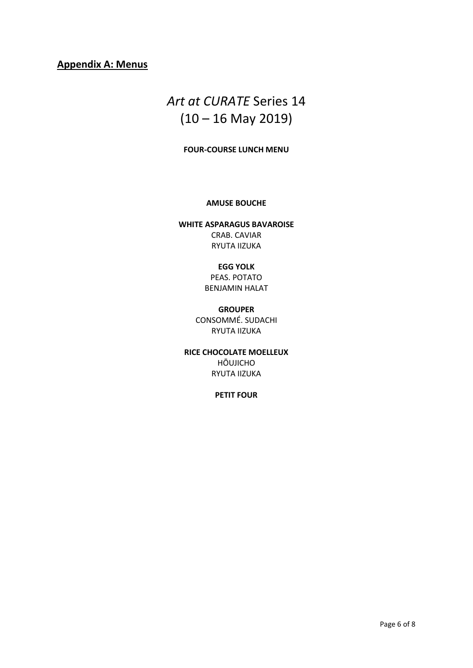## **Appendix A: Menus**

# *Art at CURATE* Series 14  $(10 - 16$  May 2019)

### **FOUR-COURSE LUNCH MENU**

#### **AMUSE BOUCHE**

**WHITE ASPARAGUS BAVAROISE** CRAB. CAVIAR RYUTA IIZUKA

### **EGG YOLK**

PEAS. POTATO BENJAMIN HALAT

### **GROUPER**

CONSOMMÉ. SUDACHI RYUTA IIZUKA

**RICE CHOCOLATE MOELLEUX** HŌUJICHO RYUTA IIZUKA

### **PETIT FOUR**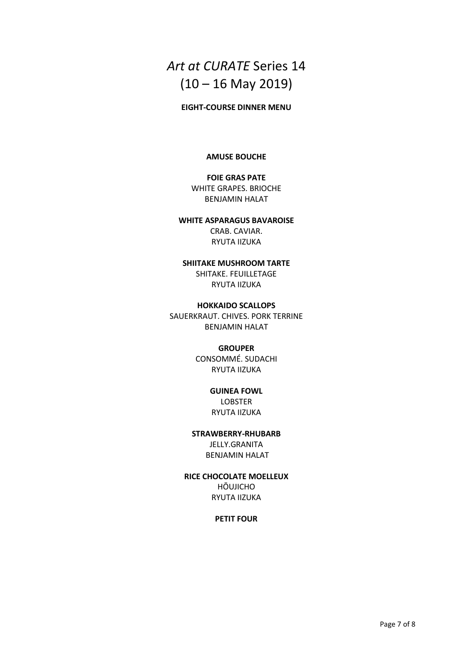# *Art at CURATE* Series 14  $(10 - 16$  May 2019)

### **EIGHT-COURSE DINNER MENU**

### **AMUSE BOUCHE**

### **FOIE GRAS PATE** WHITE GRAPES. BRIOCHE BENJAMIN HALAT

### **WHITE ASPARAGUS BAVAROISE** CRAB. CAVIAR. RYUTA IIZUKA

### **SHIITAKE MUSHROOM TARTE** SHITAKE. FEUILLETAGE RYUTA IIZUKA

#### **HOKKAIDO SCALLOPS**

SAUERKRAUT. CHIVES. PORK TERRINE BENJAMIN HALAT

### **GROUPER**

CONSOMMÉ. SUDACHI RYUTA IIZUKA

### **GUINEA FOWL**  LOBSTER

RYUTA IIZUKA

## **STRAWBERRY-RHUBARB**  JELLY.GRANITA

BENJAMIN HALAT

### **RICE CHOCOLATE MOELLEUX**

HŌUJICHO RYUTA IIZUKA

### **PETIT FOUR**